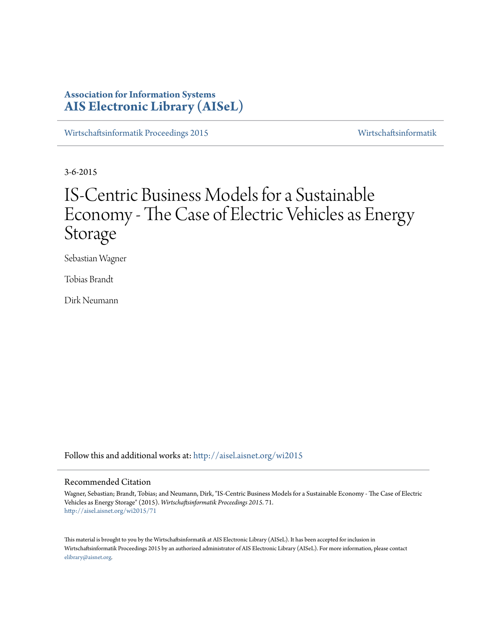# **Association for Information Systems [AIS Electronic Library \(AISeL\)](http://aisel.aisnet.org?utm_source=aisel.aisnet.org%2Fwi2015%2F71&utm_medium=PDF&utm_campaign=PDFCoverPages)**

[Wirtschaftsinformatik Proceedings 2015](http://aisel.aisnet.org/wi2015?utm_source=aisel.aisnet.org%2Fwi2015%2F71&utm_medium=PDF&utm_campaign=PDFCoverPages) [Wirtschaftsinformatik](http://aisel.aisnet.org/wi?utm_source=aisel.aisnet.org%2Fwi2015%2F71&utm_medium=PDF&utm_campaign=PDFCoverPages)

3-6-2015

# IS-Centric Business Models for a Sustainable Economy - The Case of Electric Vehicles as Energy Storage

Sebastian Wagner

Tobias Brandt

Dirk Neumann

Follow this and additional works at: [http://aisel.aisnet.org/wi2015](http://aisel.aisnet.org/wi2015?utm_source=aisel.aisnet.org%2Fwi2015%2F71&utm_medium=PDF&utm_campaign=PDFCoverPages)

#### Recommended Citation

Wagner, Sebastian; Brandt, Tobias; and Neumann, Dirk, "IS-Centric Business Models for a Sustainable Economy - The Case of Electric Vehicles as Energy Storage" (2015). *Wirtschaftsinformatik Proceedings 2015*. 71. [http://aisel.aisnet.org/wi2015/71](http://aisel.aisnet.org/wi2015/71?utm_source=aisel.aisnet.org%2Fwi2015%2F71&utm_medium=PDF&utm_campaign=PDFCoverPages)

This material is brought to you by the Wirtschaftsinformatik at AIS Electronic Library (AISeL). It has been accepted for inclusion in Wirtschaftsinformatik Proceedings 2015 by an authorized administrator of AIS Electronic Library (AISeL). For more information, please contact [elibrary@aisnet.org.](mailto:elibrary@aisnet.org%3E)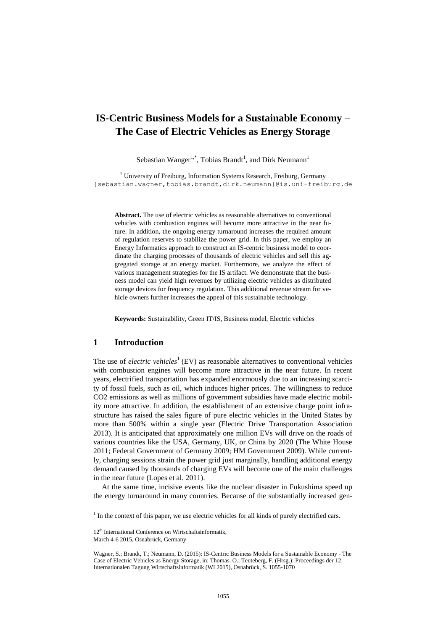# **IS-Centric Business Models for a Sustainable Economy – The Case of Electric Vehicles as Energy Storage**

Sebastian Wanger<sup>1,\*</sup>, Tobias Brandt<sup>1</sup>, and Dirk Neumann<sup>1</sup>

 $1$  University of Freiburg, Information Systems Research, Freiburg, Germany {sebastian.wagner,tobias.brandt,dirk.neumann}@is.uni-freiburg.de

**Abstract.** The use of electric vehicles as reasonable alternatives to conventional vehicles with combustion engines will become more attractive in the near future. In addition, the ongoing energy turnaround increases the required amount of regulation reserves to stabilize the power grid. In this paper, we employ an Energy Informatics approach to construct an IS-centric business model to coordinate the charging processes of thousands of electric vehicles and sell this aggregated storage at an energy market. Furthermore, we analyze the effect of various management strategies for the IS artifact. We demonstrate that the business model can yield high revenues by utilizing electric vehicles as distributed storage devices for frequency regulation. This additional revenue stream for vehicle owners further increases the appeal of this sustainable technology.

**Keywords:** Sustainability, Green IT/IS, Business model, Electric vehicles

#### **1 Introduction**

The use of *electric vehicles*<sup>1</sup> (EV) as reasonable alternatives to conventional vehicles with combustion engines will become more attractive in the near future. In recent years, electrified transportation has expanded enormously due to an increasing scarcity of fossil fuels, such as oil, which induces higher prices. The willingness to reduce CO2 emissions as well as millions of government subsidies have made electric mobility more attractive. In addition, the establishment of an extensive charge point infrastructure has raised the sales figure of pure electric vehicles in the United States by more than 500% within a single year (Electric Drive Transportation Association 2013). It is anticipated that approximately one million EVs will drive on the roads of various countries like the USA, Germany, UK, or China by 2020 (The White House 2011; Federal Government of Germany 2009; HM Government 2009). While currently, charging sessions strain the power grid just marginally, handling additional energy demand caused by thousands of charging EVs will become one of the main challenges in the near future (Lopes et al. 2011).

At the same time, incisive events like the nuclear disaster in Fukushima speed up the energy turnaround in many countries. Because of the substantially increased gen-

 $\overline{a}$ 

 $<sup>1</sup>$  In the context of this paper, we use electric vehicles for all kinds of purely electrified cars.</sup>

<sup>12&</sup>lt;sup>th</sup> International Conference on Wirtschaftsinformatik,

March 4-6 2015, Osnabrück, Germany

Wagner, S.; Brandt, T.; Neumann, D. (2015): IS-Centric Business Models for a Sustainable Economy - The Case of Electric Vehicles as Energy Storage, in: Thomas. O.; Teuteberg, F. (Hrsg.): Proceedings der 12. Internationalen Tagung Wirtschaftsinformatik (WI 2015), Osnabrück, S. 1055-1070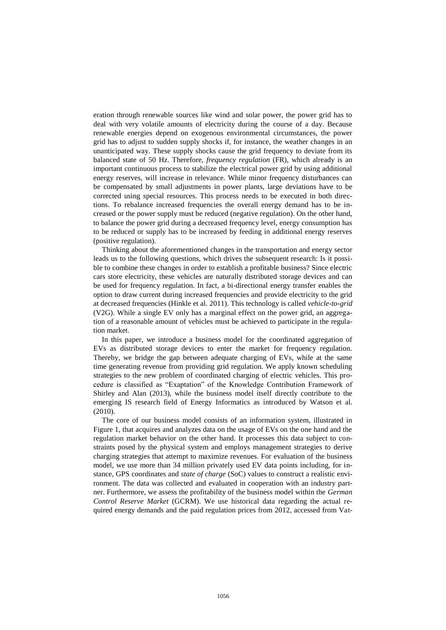eration through renewable sources like wind and solar power, the power grid has to deal with very volatile amounts of electricity during the course of a day. Because renewable energies depend on exogenous environmental circumstances, the power grid has to adjust to sudden supply shocks if, for instance, the weather changes in an unanticipated way. These supply shocks cause the grid frequency to deviate from its balanced state of 50 Hz. Therefore, *frequency regulation* (FR), which already is an important continuous process to stabilize the electrical power grid by using additional energy reserves, will increase in relevance. While minor frequency disturbances can be compensated by small adjustments in power plants, large deviations have to be corrected using special resources. This process needs to be executed in both directions. To rebalance increased frequencies the overall energy demand has to be increased or the power supply must be reduced (negative regulation). On the other hand, to balance the power grid during a decreased frequency level, energy consumption has to be reduced or supply has to be increased by feeding in additional energy reserves (positive regulation).

Thinking about the aforementioned changes in the transportation and energy sector leads us to the following questions, which drives the subsequent research: Is it possible to combine these changes in order to establish a profitable business? Since electric cars store electricity, these vehicles are naturally distributed storage devices and can be used for frequency regulation. In fact, a bi-directional energy transfer enables the option to draw current during increased frequencies and provide electricity to the grid at decreased frequencies (Hinkle et al. 2011). This technology is called *vehicle-to-grid* (V2G). While a single EV only has a marginal effect on the power grid, an aggregation of a reasonable amount of vehicles must be achieved to participate in the regulation market.

In this paper, we introduce a business model for the coordinated aggregation of EVs as distributed storage devices to enter the market for frequency regulation. Thereby, we bridge the gap between adequate charging of EVs, while at the same time generating revenue from providing grid regulation. We apply known scheduling strategies to the new problem of coordinated charging of electric vehicles. This procedure is classified as "Exaptation" of the Knowledge Contribution Framework of Shirley and Alan (2013), while the business model itself directly contribute to the emerging IS research field of Energy Informatics as introduced by Watson et al. (2010).

The core of our business model consists of an information system, illustrated in Figure 1, that acquires and analyzes data on the usage of EVs on the one hand and the regulation market behavior on the other hand. It processes this data subject to constraints posed by the physical system and employs management strategies to derive charging strategies that attempt to maximize revenues. For evaluation of the business model, we use more than 34 million privately used EV data points including, for instance, GPS coordinates and *state of charge* (SoC) values to construct a realistic environment. The data was collected and evaluated in cooperation with an industry partner. Furthermore, we assess the profitability of the business model within the *German Control Reserve Market* (GCRM). We use historical data regarding the actual required energy demands and the paid regulation prices from 2012, accessed from Vat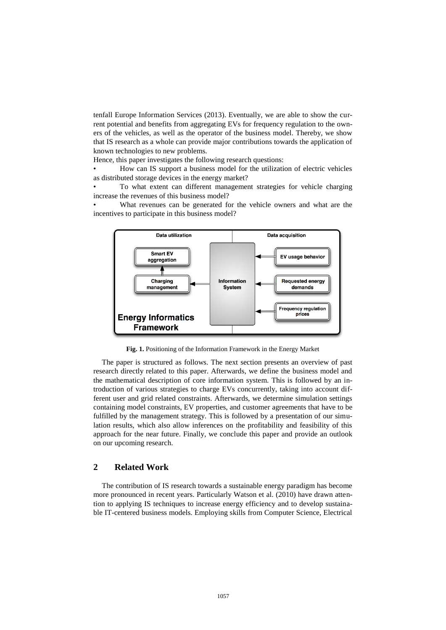tenfall Europe Information Services (2013). Eventually, we are able to show the current potential and benefits from aggregating EVs for frequency regulation to the owners of the vehicles, as well as the operator of the business model. Thereby, we show that IS research as a whole can provide major contributions towards the application of known technologies to new problems.

Hence, this paper investigates the following research questions:

• How can IS support a business model for the utilization of electric vehicles as distributed storage devices in the energy market?

• To what extent can different management strategies for vehicle charging increase the revenues of this business model?

What revenues can be generated for the vehicle owners and what are the incentives to participate in this business model?



**Fig. 1.** Positioning of the Information Framework in the Energy Market

The paper is structured as follows. The next section presents an overview of past research directly related to this paper. Afterwards, we define the business model and the mathematical description of core information system. This is followed by an introduction of various strategies to charge EVs concurrently, taking into account different user and grid related constraints. Afterwards, we determine simulation settings containing model constraints, EV properties, and customer agreements that have to be fulfilled by the management strategy. This is followed by a presentation of our simulation results, which also allow inferences on the profitability and feasibility of this approach for the near future. Finally, we conclude this paper and provide an outlook on our upcoming research.

#### **2 Related Work**

The contribution of IS research towards a sustainable energy paradigm has become more pronounced in recent years. Particularly Watson et al. (2010) have drawn attention to applying IS techniques to increase energy efficiency and to develop sustainable IT-centered business models. Employing skills from Computer Science, Electrical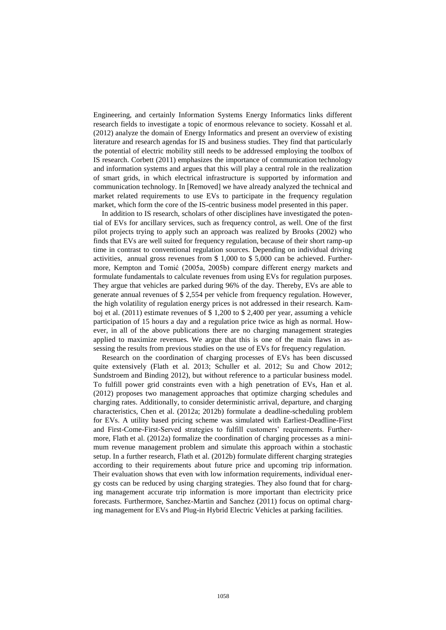Engineering, and certainly Information Systems Energy Informatics links different research fields to investigate a topic of enormous relevance to society. Kossahl et al. (2012) analyze the domain of Energy Informatics and present an overview of existing literature and research agendas for IS and business studies. They find that particularly the potential of electric mobility still needs to be addressed employing the toolbox of IS research. Corbett (2011) emphasizes the importance of communication technology and information systems and argues that this will play a central role in the realization of smart grids, in which electrical infrastructure is supported by information and communication technology. In [Removed] we have already analyzed the technical and market related requirements to use EVs to participate in the frequency regulation market, which form the core of the IS-centric business model presented in this paper.

In addition to IS research, scholars of other disciplines have investigated the potential of EVs for ancillary services, such as frequency control, as well. One of the first pilot projects trying to apply such an approach was realized by Brooks (2002) who finds that EVs are well suited for frequency regulation, because of their short ramp-up time in contrast to conventional regulation sources. Depending on individual driving activities, annual gross revenues from \$ 1,000 to \$ 5,000 can be achieved. Furthermore, Kempton and Tomić (2005a, 2005b) compare different energy markets and formulate fundamentals to calculate revenues from using EVs for regulation purposes. They argue that vehicles are parked during 96% of the day. Thereby, EVs are able to generate annual revenues of \$ 2,554 per vehicle from frequency regulation. However, the high volatility of regulation energy prices is not addressed in their research. Kamboj et al. (2011) estimate revenues of \$ 1,200 to \$ 2,400 per year, assuming a vehicle participation of 15 hours a day and a regulation price twice as high as normal. However, in all of the above publications there are no charging management strategies applied to maximize revenues. We argue that this is one of the main flaws in assessing the results from previous studies on the use of EVs for frequency regulation.

Research on the coordination of charging processes of EVs has been discussed quite extensively (Flath et al. 2013; Schuller et al. 2012; Su and Chow 2012; Sundstroem and Binding 2012), but without reference to a particular business model. To fulfill power grid constraints even with a high penetration of EVs, Han et al. (2012) proposes two management approaches that optimize charging schedules and charging rates. Additionally, to consider deterministic arrival, departure, and charging characteristics, Chen et al. (2012a; 2012b) formulate a deadline-scheduling problem for EVs. A utility based pricing scheme was simulated with Earliest-Deadline-First and First-Come-First-Served strategies to fulfill customers' requirements. Furthermore, Flath et al. (2012a) formalize the coordination of charging processes as a minimum revenue management problem and simulate this approach within a stochastic setup. In a further research, Flath et al. (2012b) formulate different charging strategies according to their requirements about future price and upcoming trip information. Their evaluation shows that even with low information requirements, individual energy costs can be reduced by using charging strategies. They also found that for charging management accurate trip information is more important than electricity price forecasts. Furthermore, Sanchez-Martin and Sanchez (2011) focus on optimal charging management for EVs and Plug-in Hybrid Electric Vehicles at parking facilities.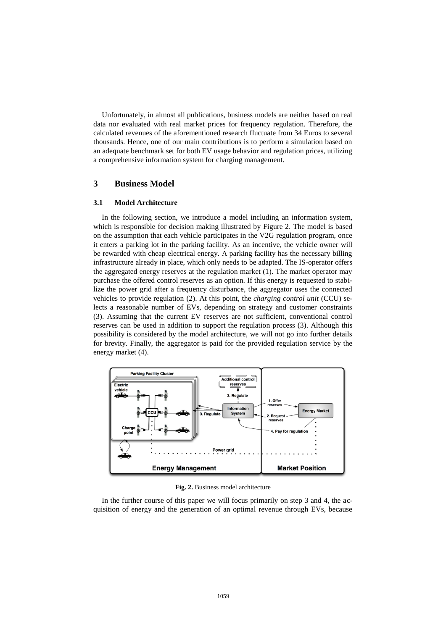Unfortunately, in almost all publications, business models are neither based on real data nor evaluated with real market prices for frequency regulation. Therefore, the calculated revenues of the aforementioned research fluctuate from 34 Euros to several thousands. Hence, one of our main contributions is to perform a simulation based on an adequate benchmark set for both EV usage behavior and regulation prices, utilizing a comprehensive information system for charging management.

## **3 Business Model**

#### **3.1 Model Architecture**

In the following section, we introduce a model including an information system, which is responsible for decision making illustrated by Figure 2. The model is based on the assumption that each vehicle participates in the V2G regulation program, once it enters a parking lot in the parking facility. As an incentive, the vehicle owner will be rewarded with cheap electrical energy. A parking facility has the necessary billing infrastructure already in place, which only needs to be adapted. The IS-operator offers the aggregated energy reserves at the regulation market (1). The market operator may purchase the offered control reserves as an option. If this energy is requested to stabilize the power grid after a frequency disturbance, the aggregator uses the connected vehicles to provide regulation (2). At this point, the *charging control unit* (CCU) selects a reasonable number of EVs, depending on strategy and customer constraints (3). Assuming that the current EV reserves are not sufficient, conventional control reserves can be used in addition to support the regulation process (3). Although this possibility is considered by the model architecture, we will not go into further details for brevity. Finally, the aggregator is paid for the provided regulation service by the energy market (4).



**Fig. 2.** Business model architecture

In the further course of this paper we will focus primarily on step 3 and 4, the acquisition of energy and the generation of an optimal revenue through EVs, because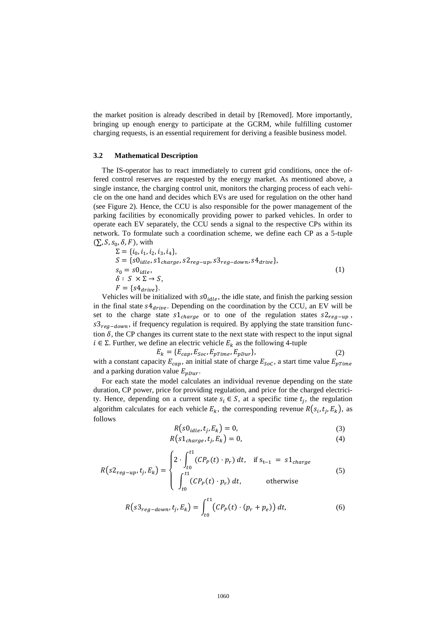the market position is already described in detail by [Removed]. More importantly, bringing up enough energy to participate at the GCRM, while fulfilling customer charging requests, is an essential requirement for deriving a feasible business model.

#### **3.2 Mathematical Description**

The IS-operator has to react immediately to current grid conditions, once the offered control reserves are requested by the energy market. As mentioned above, a single instance, the charging control unit, monitors the charging process of each vehicle on the one hand and decides which EVs are used for regulation on the other hand (see Figure 2). Hence, the CCU is also responsible for the power management of the parking facilities by economically providing power to parked vehicles. In order to operate each EV separately, the CCU sends a signal to the respective CPs within its network. To formulate such a coordination scheme, we define each CP as a 5-tuple  $(\sum, S, s_0, \delta, F)$ , with

$$
\Sigma = \{i_0, i_1, i_2, i_3, i_4\},
$$
\n
$$
S = \{s0_{idle}, s1_{charge}, s2_{reg-up}, s3_{reg-down}, s4_{drive}\},
$$
\n
$$
s_0 = s0_{idle},
$$
\n
$$
\delta : S \times \Sigma \rightarrow S,
$$
\n
$$
F = \{s4_{drive}\}.
$$
\n(1)

Vehicles will be initialized with  $s0_{idle}$ , the idle state, and finish the parking session in the final state  $s4_{drive}$ . Depending on the coordination by the CCU, an EV will be set to the charge state  $s1_{charge}$  or to one of the regulation states  $s2_{reg-up}$ ,  $s3_{rea-down}$ , if frequency regulation is required. By applying the state transition function  $\delta$ , the CP changes its current state to the next state with respect to the input signal  $i \in \Sigma$ . Further, we define an electric vehicle  $E_k$  as the following 4-tuple

$$
E_k = \{E_{cap}, E_{Soc}, E_{prime}, E_{pDur}\},\tag{2}
$$

with a constant capacity  $E_{cap}$ , an initial state of charge  $E_{Soc}$ , a start time value  $E_{pTime}$ and a parking duration value  $E_{pDur}$ .

For each state the model calculates an individual revenue depending on the state duration, CP power, price for providing regulation, and price for the charged electricity. Hence, depending on a current state  $s_i \in S$ , at a specific time  $t_j$ , the regulation algorithm calculates for each vehicle  $E_k$ , the corresponding revenue  $R(s_i, t_j, E_k)$ , as follows

$$
R(s0idle, tj, Ek) = 0,
$$
\n(3)

$$
R(s1_{charge}, t_j, E_k) = 0,
$$
\n<sup>(4)</sup>

$$
R(s2_{reg-up}, t_j, E_k) = \begin{cases} 2 \cdot \int_{t0}^{t1} (CP_p(t) \cdot p_r) dt, & \text{if } s_{t-1} = s1_{charge} \\ \int_{t0}^{t1} (CP_p(t) \cdot p_r) dt, & \text{otherwise} \end{cases}
$$
(5)

$$
R(s3_{reg-down}, t_j, E_k) = \int_{t_0}^{t_1} (CP_p(t) \cdot (p_r + p_e)) dt,
$$
 (6)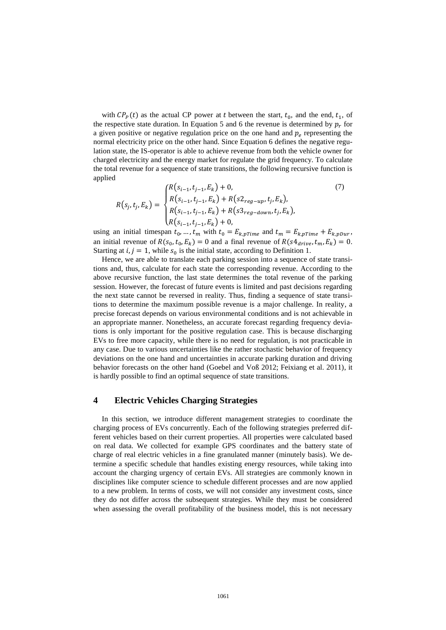with  $\mathcal{CP}_P(t)$  as the actual CP power at t between the start,  $t_0$ , and the end,  $t_1$ , of the respective state duration. In Equation 5 and 6 the revenue is determined by  $p_r$  for a given positive or negative regulation price on the one hand and  $p_e$  representing the normal electricity price on the other hand. Since Equation 6 defines the negative regulation state, the IS-operator is able to achieve revenue from both the vehicle owner for charged electricity and the energy market for regulate the grid frequency. To calculate the total revenue for a sequence of state transitions, the following recursive function is applied

$$
R(s_j, t_j, E_k) = \begin{cases} R(s_{i-1}, t_{j-1}, E_k) + 0, & (7) \\ R(s_{i-1}, t_{j-1}, E_k) + R(s_{2reg-up}, t_j, E_k), \\ R(s_{i-1}, t_{j-1}, E_k) + R(s_{3reg-down}, t_j, E_k), \\ R(s_{i-1}, t_{j-1}, E_k) + 0, & (9) \end{cases}
$$

using an initial timespan  $t_0$ , ...,  $t_m$  with  $t_0 = E_{k,pTime}$  and  $t_m = E_{k,pTime} + E_{k,pDur}$ , an initial revenue of  $R(s_0, t_0, E_k) = 0$  and a final revenue of  $R(s4_{drive}, t_m, E_k) = 0$ . Starting at  $i, j = 1$ , while  $s_0$  is the initial state, according to Definition 1.

Hence, we are able to translate each parking session into a sequence of state transitions and, thus, calculate for each state the corresponding revenue. According to the above recursive function, the last state determines the total revenue of the parking session. However, the forecast of future events is limited and past decisions regarding the next state cannot be reversed in reality. Thus, finding a sequence of state transitions to determine the maximum possible revenue is a major challenge. In reality, a precise forecast depends on various environmental conditions and is not achievable in an appropriate manner. Nonetheless, an accurate forecast regarding frequency deviations is only important for the positive regulation case. This is because discharging EVs to free more capacity, while there is no need for regulation, is not practicable in any case. Due to various uncertainties like the rather stochastic behavior of frequency deviations on the one hand and uncertainties in accurate parking duration and driving behavior forecasts on the other hand (Goebel and Voß 2012; Feixiang et al. 2011), it is hardly possible to find an optimal sequence of state transitions.

#### **4 Electric Vehicles Charging Strategies**

In this section, we introduce different management strategies to coordinate the charging process of EVs concurrently. Each of the following strategies preferred different vehicles based on their current properties. All properties were calculated based on real data. We collected for example GPS coordinates and the battery state of charge of real electric vehicles in a fine granulated manner (minutely basis). We determine a specific schedule that handles existing energy resources, while taking into account the charging urgency of certain EVs. All strategies are commonly known in disciplines like computer science to schedule different processes and are now applied to a new problem. In terms of costs, we will not consider any investment costs, since they do not differ across the subsequent strategies. While they must be considered when assessing the overall profitability of the business model, this is not necessary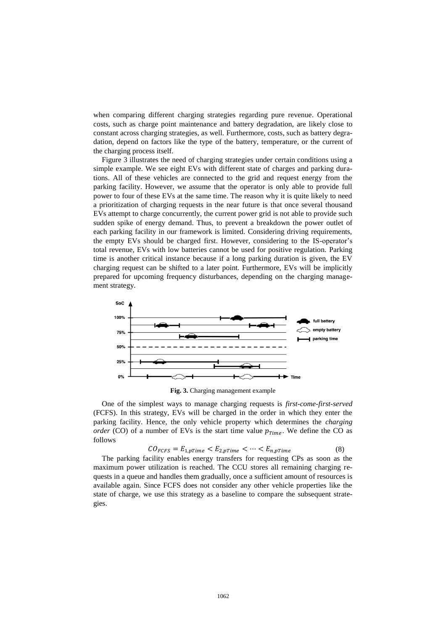when comparing different charging strategies regarding pure revenue. Operational costs, such as charge point maintenance and battery degradation, are likely close to constant across charging strategies, as well. Furthermore, costs, such as battery degradation, depend on factors like the type of the battery, temperature, or the current of the charging process itself.

Figure 3 illustrates the need of charging strategies under certain conditions using a simple example. We see eight EVs with different state of charges and parking durations. All of these vehicles are connected to the grid and request energy from the parking facility. However, we assume that the operator is only able to provide full power to four of these EVs at the same time. The reason why it is quite likely to need a prioritization of charging requests in the near future is that once several thousand EVs attempt to charge concurrently, the current power grid is not able to provide such sudden spike of energy demand. Thus, to prevent a breakdown the power outlet of each parking facility in our framework is limited. Considering driving requirements, the empty EVs should be charged first. However, considering to the IS-operator's total revenue, EVs with low batteries cannot be used for positive regulation. Parking time is another critical instance because if a long parking duration is given, the EV charging request can be shifted to a later point. Furthermore, EVs will be implicitly prepared for upcoming frequency disturbances, depending on the charging management strategy.



**Fig. 3.** Charging management example

One of the simplest ways to manage charging requests is *first-come-first-served* (FCFS). In this strategy, EVs will be charged in the order in which they enter the parking facility. Hence, the only vehicle property which determines the *charging order* (CO) of a number of EVs is the start time value  $p_{Time}$ . We define the CO as follows

$$
CO_{FCFS} = E_{1,pTime} < E_{2,pTime} < \cdots < E_{n,pTime} \tag{8}
$$

The parking facility enables energy transfers for requesting CPs as soon as the maximum power utilization is reached. The CCU stores all remaining charging requests in a queue and handles them gradually, once a sufficient amount of resources is available again. Since FCFS does not consider any other vehicle properties like the state of charge, we use this strategy as a baseline to compare the subsequent strategies.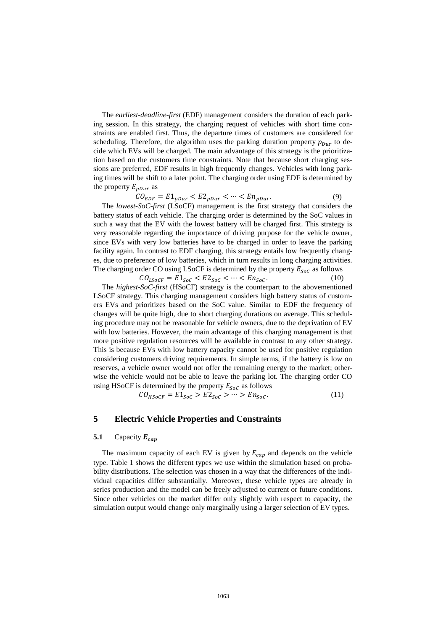The *earliest-deadline-first* (EDF) management considers the duration of each parking session. In this strategy, the charging request of vehicles with short time constraints are enabled first. Thus, the departure times of customers are considered for scheduling. Therefore, the algorithm uses the parking duration property  $p_{pur}$  to decide which EVs will be charged. The main advantage of this strategy is the prioritization based on the customers time constraints. Note that because short charging sessions are preferred, EDF results in high frequently changes. Vehicles with long parking times will be shift to a later point. The charging order using EDF is determined by the property  $E_{nDur}$  as

$$
CO_{EDF} = E1_{pDur} < E2_{pDur} < \dots < En_{pDur}.\tag{9}
$$

The *lowest-SoC-first* (LSoCF) management is the first strategy that considers the battery status of each vehicle. The charging order is determined by the SoC values in such a way that the EV with the lowest battery will be charged first. This strategy is very reasonable regarding the importance of driving purpose for the vehicle owner, since EVs with very low batteries have to be charged in order to leave the parking facility again. In contrast to EDF charging, this strategy entails low frequently changes, due to preference of low batteries, which in turn results in long charging activities. The charging order CO using LSoCF is determined by the property  $E_{\text{Soc}}$  as follows

$$
CO_{LSoCF} = E1_{Soc} < E2_{Soc} < \dots < En_{Soc}.\tag{10}
$$

The *highest-SoC-first* (HSoCF) strategy is the counterpart to the abovementioned LSoCF strategy. This charging management considers high battery status of customers EVs and prioritizes based on the SoC value. Similar to EDF the frequency of changes will be quite high, due to short charging durations on average. This scheduling procedure may not be reasonable for vehicle owners, due to the deprivation of EV with low batteries. However, the main advantage of this charging management is that more positive regulation resources will be available in contrast to any other strategy. This is because EVs with low battery capacity cannot be used for positive regulation considering customers driving requirements. In simple terms, if the battery is low on reserves, a vehicle owner would not offer the remaining energy to the market; otherwise the vehicle would not be able to leave the parking lot. The charging order CO using HSoCF is determined by the property  $E_{\text{Soc}}$  as follows

$$
CO_{HSoCF} = E1_{Soc} > E2_{Soc} > \dots > En_{Soc}.
$$
\n
$$
(11)
$$

#### **5 Electric Vehicle Properties and Constraints**

#### 5.1 Capacity  $E_{cap}$

The maximum capacity of each EV is given by  $E_{cap}$  and depends on the vehicle type. Table 1 shows the different types we use within the simulation based on probability distributions. The selection was chosen in a way that the differences of the individual capacities differ substantially. Moreover, these vehicle types are already in series production and the model can be freely adjusted to current or future conditions. Since other vehicles on the market differ only slightly with respect to capacity, the simulation output would change only marginally using a larger selection of EV types.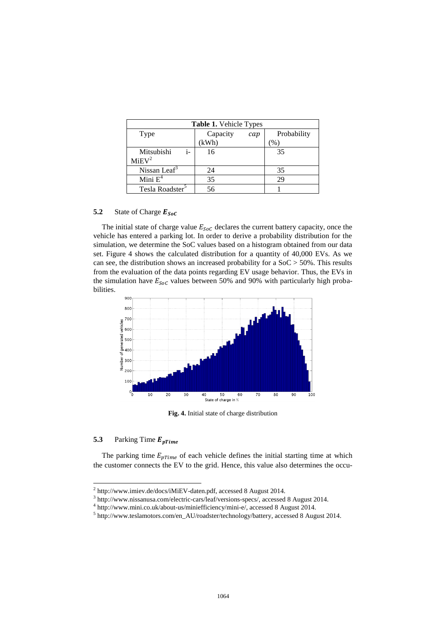| <b>Table 1.</b> Vehicle Types           |          |     |             |  |  |  |
|-----------------------------------------|----------|-----|-------------|--|--|--|
| Type                                    | Capacity | cap | Probability |  |  |  |
|                                         | (kWh)    |     | $\%$        |  |  |  |
| Mitsubishi<br>$i-$<br>MiEV <sup>2</sup> | 16       |     | 35          |  |  |  |
| Nissan Leaf <sup>3</sup>                | 24       |     | 35          |  |  |  |
| Mini $E^4$                              | 35       |     | 29          |  |  |  |
| Tesla Roadster <sup>5</sup>             | 56       |     |             |  |  |  |

# 5.2 State of Charge  $E_{SoC}$

The initial state of charge value  $E_{Soc}$  declares the current battery capacity, once the vehicle has entered a parking lot. In order to derive a probability distribution for the simulation, we determine the SoC values based on a histogram obtained from our data set. Figure 4 shows the calculated distribution for a quantity of 40,000 EVs. As we can see, the distribution shows an increased probability for a  $SoC > 50\%$ . This results from the evaluation of the data points regarding EV usage behavior. Thus, the EVs in the simulation have  $E_{\text{Soc}}$  values between 50% and 90% with particularly high probabilities.



**Fig. 4.** Initial state of charge distribution

# 5.3 Parking Time  $E_{prime}$

 $\overline{a}$ 

The parking time  $E_{pTime}$  of each vehicle defines the initial starting time at which the customer connects the EV to the grid. Hence, this value also determines the occu-

 $2 \text{ http://www.imiev.de/docs/iMiEV-data.pdf}$ , accessed 8 August 2014.

<sup>&</sup>lt;sup>3</sup> [http://www.nissanusa.com/electric-cars/leaf/versions-specs/,](http://www.nissanusa.com/electric-cars/leaf/versions-specs/) accessed 8 August 2014.

<sup>4</sup> [http://www.mini.co.uk/about-us/miniefficiency/mini-e/,](http://www.mini.co.uk/about-us/miniefficiency/mini-e/) accessed 8 August 2014.

<sup>&</sup>lt;sup>5</sup> [http://www.teslamotors.com/en\\_AU/roadster/technology/battery,](http://www.teslamotors.com/en_AU/roadster/technology/battery) accessed 8 August 2014.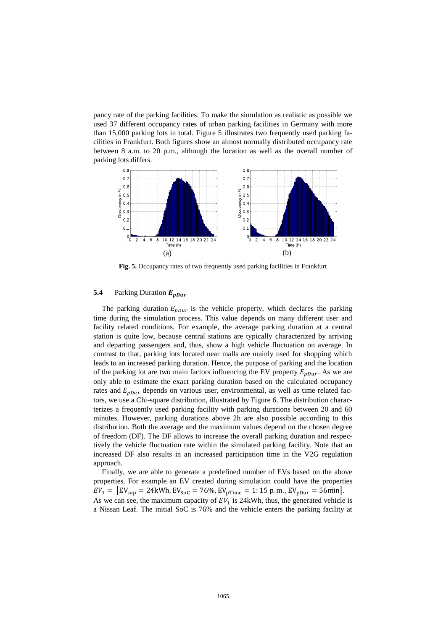pancy rate of the parking facilities. To make the simulation as realistic as possible we used 37 different occupancy rates of urban parking facilities in Germany with more than 15,000 parking lots in total. Figure 5 illustrates two frequently used parking facilities in Frankfurt. Both figures show an almost normally distributed occupancy rate between 8 a.m. to 20 p.m., although the location as well as the overall number of parking lots differs.



**Fig. 5.** Occupancy rates of two frequently used parking facilities in Frankfurt

#### 5.4 Parking Duration  $E_{\text{p}pur}$

The parking duration  $E_{\nu Dur}$  is the vehicle property, which declares the parking time during the simulation process. This value depends on many different user and facility related conditions. For example, the average parking duration at a central station is quite low, because central stations are typically characterized by arriving and departing passengers and, thus, show a high vehicle fluctuation on average. In contrast to that, parking lots located near malls are mainly used for shopping which leads to an increased parking duration. Hence, the purpose of parking and the location of the parking lot are two main factors influencing the EV property  $E_{\text{p}Dur}$ . As we are only able to estimate the exact parking duration based on the calculated occupancy rates and  $E_{pDur}$  depends on various user, environmental, as well as time related factors, we use a Chi-square distribution, illustrated by Figure 6. The distribution characterizes a frequently used parking facility with parking durations between 20 and 60 minutes. However, parking durations above 2h are also possible according to this distribution. Both the average and the maximum values depend on the chosen degree of freedom (DF). The DF allows to increase the overall parking duration and respectively the vehicle fluctuation rate within the simulated parking facility. Note that an increased DF also results in an increased participation time in the V2G regulation approach.

Finally, we are able to generate a predefined number of EVs based on the above properties. For example an EV created during simulation could have the properties  $EV_1 = [EV_{cap} = 24kWh, EV_{Soc} = 76\%, EV_{prime} = 1:15 p.m., EV_{pDur} = 56min].$ As we can see, the maximum capacity of  $EV_1$  is 24kWh, thus, the generated vehicle is a Nissan Leaf. The initial SoC is 76% and the vehicle enters the parking facility at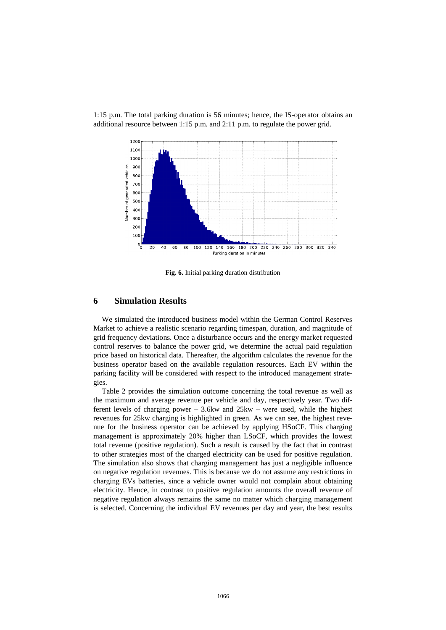

1:15 p.m. The total parking duration is 56 minutes; hence, the IS-operator obtains an additional resource between 1:15 p.m. and 2:11 p.m. to regulate the power grid.

**Fig. 6.** Initial parking duration distribution

#### **6 Simulation Results**

We simulated the introduced business model within the German Control Reserves Market to achieve a realistic scenario regarding timespan, duration, and magnitude of grid frequency deviations. Once a disturbance occurs and the energy market requested control reserves to balance the power grid, we determine the actual paid regulation price based on historical data. Thereafter, the algorithm calculates the revenue for the business operator based on the available regulation resources. Each EV within the parking facility will be considered with respect to the introduced management strategies.

Table 2 provides the simulation outcome concerning the total revenue as well as the maximum and average revenue per vehicle and day, respectively year. Two different levels of charging power  $-3.6$ kw and  $25$ kw – were used, while the highest revenues for 25kw charging is highlighted in green. As we can see, the highest revenue for the business operator can be achieved by applying HSoCF. This charging management is approximately 20% higher than LSoCF, which provides the lowest total revenue (positive regulation). Such a result is caused by the fact that in contrast to other strategies most of the charged electricity can be used for positive regulation. The simulation also shows that charging management has just a negligible influence on negative regulation revenues. This is because we do not assume any restrictions in charging EVs batteries, since a vehicle owner would not complain about obtaining electricity. Hence, in contrast to positive regulation amounts the overall revenue of negative regulation always remains the same no matter which charging management is selected. Concerning the individual EV revenues per day and year, the best results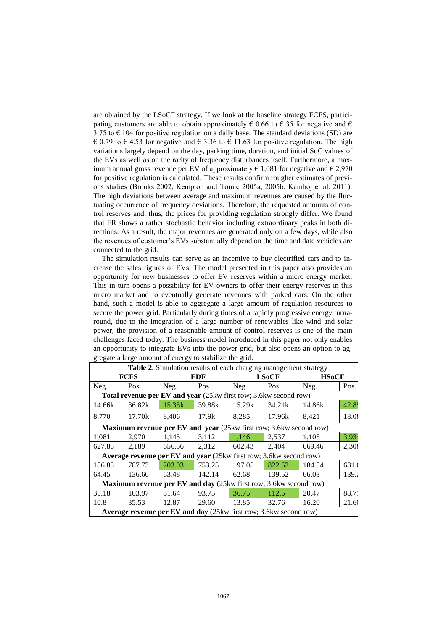are obtained by the LSoCF strategy. If we look at the baseline strategy FCFS, participating customers are able to obtain approximately  $\in$  0.66 to  $\in$  35 for negative and  $\in$ 3.75 to  $\epsilon$  104 for positive regulation on a daily base. The standard deviations (SD) are € 0.79 to € 4.53 for negative and € 3.36 to € 11.63 for positive regulation. The high variations largely depend on the day, parking time, duration, and initial SoC values of the EVs as well as on the rarity of frequency disturbances itself. Furthermore, a maximum annual gross revenue per EV of approximately  $\epsilon$  1,081 for negative and  $\epsilon$  2,970 for positive regulation is calculated. These results confirm rougher estimates of previous studies (Brooks 2002, Kempton and Tomić 2005a, 2005b, Kamboj et al. 2011). The high deviations between average and maximum revenues are caused by the fluctuating occurrence of frequency deviations. Therefore, the requested amounts of control reserves and, thus, the prices for providing regulation strongly differ. We found that FR shows a rather stochastic behavior including extraordinary peaks in both directions. As a result, the major revenues are generated only on a few days, while also the revenues of customer's EVs substantially depend on the time and date vehicles are connected to the grid.

The simulation results can serve as an incentive to buy electrified cars and to increase the sales figures of EVs. The model presented in this paper also provides an opportunity for new businesses to offer EV reserves within a micro energy market. This in turn opens a possibility for EV owners to offer their energy reserves in this micro market and to eventually generate revenues with parked cars. On the other hand, such a model is able to aggregate a large amount of regulation resources to secure the power grid. Particularly during times of a rapidly progressive energy turnaround, due to the integration of a large number of renewables like wind and solar power, the provision of a reasonable amount of control reserves is one of the main challenges faced today. The business model introduced in this paper not only enables an opportunity to integrate EVs into the power grid, but also opens an option to aggregate a large amount of energy to stabilize the grid.

| Table 2. Simulation results of each charging management strategy          |        |        |        |        |              |        |              |  |
|---------------------------------------------------------------------------|--------|--------|--------|--------|--------------|--------|--------------|--|
| <b>FCFS</b>                                                               |        |        | EDF    |        | <b>LSoCF</b> |        | <b>HSoCF</b> |  |
| Neg.                                                                      | Pos.   | Neg.   | Pos.   | Neg.   | Pos.         | Neg.   | Pos.         |  |
| Total revenue per EV and year (25kw first row; 3.6kw second row)          |        |        |        |        |              |        |              |  |
| 14.66k                                                                    | 36.82k | 15.35k | 39.88k | 15.29k | 34.21k       | 14.86k | 42.8:        |  |
| 8,770                                                                     | 17.70k | 8,406  | 17.9k  | 8,285  | 17.96k       | 8,421  | 18.08        |  |
| <b>Maximum revenue per EV and year</b> (25kw first row; 3.6kw second row) |        |        |        |        |              |        |              |  |
| 1,081                                                                     | 2,970  | 1,145  | 3,112  | 1,146  | 2,537        | 1,105  | 3,934        |  |
| 627.88                                                                    | 2,189  | 656.56 | 2,312  | 602.43 | 2,404        | 669.46 | 2,30         |  |
| <b>Average revenue per EV and year</b> (25kw first row; 3.6kw second row) |        |        |        |        |              |        |              |  |
| 186.85                                                                    | 787.73 | 203.03 | 753.25 | 197.05 | 822.52       | 184.54 | 681.         |  |
| 64.45                                                                     | 136.66 | 63.48  | 142.14 | 62.68  | 139.52       | 66.03  | 139.         |  |
| Maximum revenue per EV and day (25kw first row; 3.6kw second row)         |        |        |        |        |              |        |              |  |
| 35.18                                                                     | 103.97 | 31.64  | 93.75  | 36.75  | 112.5        | 20.47  | 88.7         |  |
| 10.8                                                                      | 35.53  | 12.87  | 29.60  | 13.85  | 32.76        | 16.20  | 21.6         |  |
| <b>Average revenue per EV and day</b> (25kw first row; 3.6kw second row)  |        |        |        |        |              |        |              |  |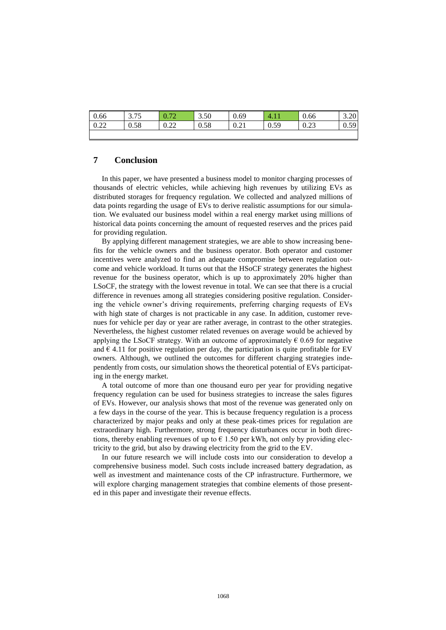| 0.66 | 275<br>ر ، ، ر | $\sim$<br>70 | 3.50<br>$\sim$ | 0.69 | $\mathbf{4}$ .      | 0.66 | 3.20 |
|------|----------------|--------------|----------------|------|---------------------|------|------|
| 0.22 | 0.58           | 0.22<br>0.44 | 0.58           | 0.21 | በ 59<br><u>U.JZ</u> | 0.23 | 0.59 |
|      |                |              |                |      |                     |      |      |

## **7 Conclusion**

In this paper, we have presented a business model to monitor charging processes of thousands of electric vehicles, while achieving high revenues by utilizing EVs as distributed storages for frequency regulation. We collected and analyzed millions of data points regarding the usage of EVs to derive realistic assumptions for our simulation. We evaluated our business model within a real energy market using millions of historical data points concerning the amount of requested reserves and the prices paid for providing regulation.

By applying different management strategies, we are able to show increasing benefits for the vehicle owners and the business operator. Both operator and customer incentives were analyzed to find an adequate compromise between regulation outcome and vehicle workload. It turns out that the HSoCF strategy generates the highest revenue for the business operator, which is up to approximately 20% higher than LSoCF, the strategy with the lowest revenue in total. We can see that there is a crucial difference in revenues among all strategies considering positive regulation. Considering the vehicle owner's driving requirements, preferring charging requests of EVs with high state of charges is not practicable in any case. In addition, customer revenues for vehicle per day or year are rather average, in contrast to the other strategies. Nevertheless, the highest customer related revenues on average would be achieved by applying the LSoCF strategy. With an outcome of approximately  $\epsilon$  0.69 for negative and  $\epsilon$  4.11 for positive regulation per day, the participation is quite profitable for EV owners. Although, we outlined the outcomes for different charging strategies independently from costs, our simulation shows the theoretical potential of EVs participating in the energy market.

A total outcome of more than one thousand euro per year for providing negative frequency regulation can be used for business strategies to increase the sales figures of EVs. However, our analysis shows that most of the revenue was generated only on a few days in the course of the year. This is because frequency regulation is a process characterized by major peaks and only at these peak-times prices for regulation are extraordinary high. Furthermore, strong frequency disturbances occur in both directions, thereby enabling revenues of up to  $\epsilon$  1.50 per kWh, not only by providing electricity to the grid, but also by drawing electricity from the grid to the EV.

In our future research we will include costs into our consideration to develop a comprehensive business model. Such costs include increased battery degradation, as well as investment and maintenance costs of the CP infrastructure. Furthermore, we will explore charging management strategies that combine elements of those presented in this paper and investigate their revenue effects.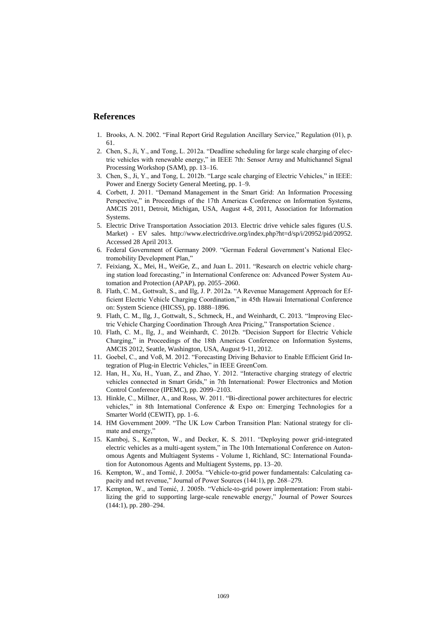#### **References**

- 1. Brooks, A. N. 2002. "Final Report Grid Regulation Ancillary Service," Regulation (01), p. 61.
- 2. Chen, S., Ji, Y., and Tong, L. 2012a. "Deadline scheduling for large scale charging of electric vehicles with renewable energy," in IEEE 7th: Sensor Array and Multichannel Signal Processing Workshop (SAM), pp. 13–16.
- 3. Chen, S., Ji, Y., and Tong, L. 2012b. "Large scale charging of Electric Vehicles," in IEEE: Power and Energy Society General Meeting, pp. 1–9.
- 4. Corbett, J. 2011. "Demand Management in the Smart Grid: An Information Processing Perspective," in Proceedings of the 17th Americas Conference on Information Systems, AMCIS 2011, Detroit, Michigan, USA, August 4-8, 2011, Association for Information Systems.
- 5. Electric Drive Transportation Association 2013. Electric drive vehicle sales figures (U.S. Market) - EV sales. http://www.electricdrive.org/index.php?ht=d/sp/i/20952/pid/20952. Accessed 28 April 2013.
- 6. Federal Government of Germany 2009. "German Federal Government's National Electromobility Development Plan,"
- 7. Feixiang, X., Mei, H., WeiGe, Z., and Juan L. 2011. "Research on electric vehicle charging station load forecasting," in International Conference on: Advanced Power System Automation and Protection (APAP), pp. 2055–2060.
- 8. Flath, C. M., Gottwalt, S., and Ilg, J. P. 2012a. "A Revenue Management Approach for Efficient Electric Vehicle Charging Coordination," in 45th Hawaii International Conference on: System Science (HICSS), pp. 1888–1896.
- 9. Flath, C. M., Ilg, J., Gottwalt, S., Schmeck, H., and Weinhardt, C. 2013. "Improving Electric Vehicle Charging Coordination Through Area Pricing," Transportation Science .
- 10. Flath, C. M., Ilg, J., and Weinhardt, C. 2012b. "Decision Support for Electric Vehicle Charging," in Proceedings of the 18th Americas Conference on Information Systems, AMCIS 2012, Seattle, Washington, USA, August 9-11, 2012.
- 11. Goebel, C., and Voß, M. 2012. "Forecasting Driving Behavior to Enable Efficient Grid Integration of Plug-in Electric Vehicles," in IEEE GreenCom.
- 12. Han, H., Xu, H., Yuan, Z., and Zhao, Y. 2012. "Interactive charging strategy of electric vehicles connected in Smart Grids," in 7th International: Power Electronics and Motion Control Conference (IPEMC), pp. 2099–2103.
- 13. Hinkle, C., Millner, A., and Ross, W. 2011. "Bi-directional power architectures for electric vehicles," in 8th International Conference & Expo on: Emerging Technologies for a Smarter World (CEWIT), pp. 1–6.
- 14. HM Government 2009. "The UK Low Carbon Transition Plan: National strategy for climate and energy,"
- 15. Kamboj, S., Kempton, W., and Decker, K. S. 2011. "Deploying power grid-integrated electric vehicles as a multi-agent system," in The 10th International Conference on Autonomous Agents and Multiagent Systems - Volume 1, Richland, SC: International Foundation for Autonomous Agents and Multiagent Systems, pp. 13–20.
- 16. Kempton, W., and Tomić, J. 2005a. "Vehicle-to-grid power fundamentals: Calculating capacity and net revenue," Journal of Power Sources (144:1), pp. 268–279.
- 17. Kempton, W., and Tomić, J. 2005b. "Vehicle-to-grid power implementation: From stabilizing the grid to supporting large-scale renewable energy," Journal of Power Sources (144:1), pp. 280–294.